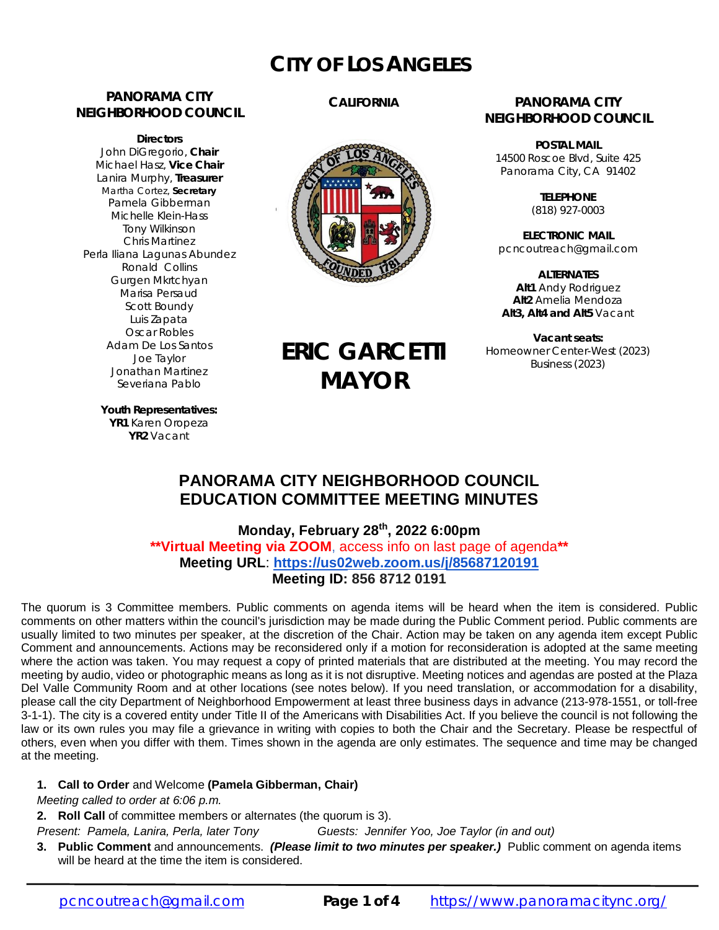# **CITY OF LOS ANGELES**

#### **PANORAMA CITY NEIGHBORHOOD COUNCIL**

**Directors** John DiGregorio, **Chair** Michael Hasz, **Vice Chair** Lanira Murphy, **Treasurer** Martha Cortez, **Secretary** Pamela Gibberman Michelle Klein-Hass Tony Wilkinson Chris Martinez Perla Iliana Lagunas Abundez Ronald Collins Gurgen Mkrtchyan Marisa Persaud Scott Boundy Luis Zapata Oscar Robles Adam De Los Santos Joe Taylor Jonathan Martinez Severiana Pablo

#### **CALIFORNIA**



**ERIC GARCETTI**

**MAYOR**

#### **PANORAMA CITY NEIGHBORHOOD COUNCIL**

**POSTAL MAIL** 14500 Roscoe Blvd, Suite 425 Panorama City, CA 91402

> **TELEPHONE** (818) 927-0003

**ELECTRONIC MAIL** [pcncoutreach@gmail.com](mailto:pcncoutreach@gmail.com)

**ALTERNATES Alt1** Andy Rodriguez **Alt2** Amelia Mendoza **Alt3, Alt4 and Alt5** Vacant

**Vacant seats:** Homeowner Center-West (2023) Business (2023)

**Youth Representatives: YR1** Karen Oropeza **YR2** Vacant

### **PANORAMA CITY NEIGHBORHOOD COUNCIL EDUCATION COMMITTEE MEETING MINUTES**

**Monday, February 28 th, 2022 6:00pm \*\*Virtual Meeting via ZOOM**, access info on last page of agenda**\*\* Meeting URL**: **<https://us02web.zoom.us/j/85687120191> Meeting ID: 856 8712 0191**

The quorum is 3 Committee members. Public comments on agenda items will be heard when the item is considered. Public comments on other matters within the council's jurisdiction may be made during the Public Comment period. Public comments are usually limited to two minutes per speaker, at the discretion of the Chair. Action may be taken on any agenda item except Public Comment and announcements. Actions may be reconsidered only if a motion for reconsideration is adopted at the same meeting where the action was taken. You may request a copy of printed materials that are distributed at the meeting. You may record the meeting by audio, video or photographic means as long as it is not disruptive. Meeting notices and agendas are posted at the Plaza Del Valle Community Room and at other locations (see notes below). If you need translation, or accommodation for a disability, please call the city Department of Neighborhood Empowerment at least three business days in advance (213-978-1551, or toll-free 3-1-1). The city is a covered entity under Title II of the Americans with Disabilities Act. If you believe the council is not following the law or its own rules you may file a grievance in writing with copies to both the Chair and the Secretary. Please be respectful of others, even when you differ with them. Times shown in the agenda are only estimates. The sequence and time may be changed at the meeting.

#### **1. Call to Order** and Welcome **(Pamela Gibberman, Chair)**

*Meeting called to order at 6:06 p.m.*

**2. Roll Call** of committee members or alternates (the quorum is 3).

*Present: Pamela, Lanira, Perla, later Tony Guests: Jennifer Yoo, Joe Taylor (in and out)*

**3. Public Comment** and announcements. *(Please limit to two minutes per speaker.)* Public comment on agenda items will be heard at the time the item is considered.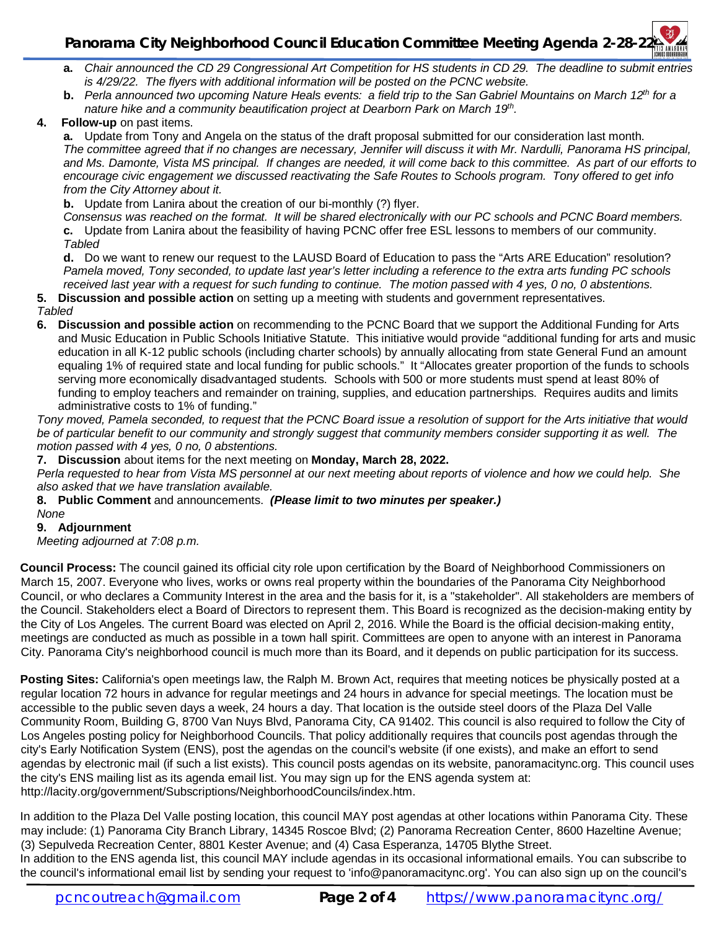# **Panorama City Neighborhood Council Education Committee Meeting Agenda 2-28-22**

- **a.** *Chair announced the CD 29 Congressional Art Competition for HS students in CD 29. The deadline to submit entries is 4/29/22. The flyers with additional information will be posted on the PCNC website.*
- **b.** *Perla announced two upcoming Nature Heals events: a field trip to the San Gabriel Mountains on March 12th for a nature hike and a community beautification project at Dearborn Park on March 19th .*
- **4. Follow-up** on past items.

**a.** Update from Tony and Angela on the status of the draft proposal submitted for our consideration last month. *The committee agreed that if no changes are necessary, Jennifer will discuss it with Mr. Nardulli, Panorama HS principal, and Ms. Damonte, Vista MS principal. If changes are needed, it will come back to this committee. As part of our efforts to encourage civic engagement we discussed reactivating the Safe Routes to Schools program. Tony offered to get info from the City Attorney about it.*

**b.** Update from Lanira about the creation of our bi-monthly (?) flyer.

*Consensus was reached on the format. It will be shared electronically with our PC schools and PCNC Board members.* **c.** Update from Lanira about the feasibility of having PCNC offer free ESL lessons to members of our community. *Tabled*

**d.** Do we want to renew our request to the LAUSD Board of Education to pass the "Arts ARE Education" resolution? *Pamela moved, Tony seconded, to update last year's letter including a reference to the extra arts funding PC schools received last year with a request for such funding to continue. The motion passed with 4 yes, 0 no, 0 abstentions.*

**5. Discussion and possible action** on setting up a meeting with students and government representatives.

- *Tabled*
- **6. Discussion and possible action** on recommending to the PCNC Board that we support the Additional Funding for Arts and Music Education in Public Schools Initiative Statute. This initiative would provide "additional funding for arts and music education in all K-12 public schools (including charter schools) by annually allocating from state General Fund an amount equaling 1% of required state and local funding for public schools." It "Allocates greater proportion of the funds to schools serving more economically disadvantaged students. Schools with 500 or more students must spend at least 80% of funding to employ teachers and remainder on training, supplies, and education partnerships. Requires audits and limits administrative costs to 1% of funding."

*Tony moved, Pamela seconded, to request that the PCNC Board issue a resolution of support for the Arts initiative that would be of particular benefit to our community and strongly suggest that community members consider supporting it as well. The motion passed with 4 yes, 0 no, 0 abstentions.*

**7. Discussion** about items for the next meeting on **Monday, March 28, 2022.**

*Perla requested to hear from Vista MS personnel at our next meeting about reports of violence and how we could help. She also asked that we have translation available.*

#### **8. Public Comment** and announcements. *(Please limit to two minutes per speaker.) None*

#### **9. Adjournment**

*Meeting adjourned at 7:08 p.m.*

**Council Process:** The council gained its official city role upon certification by the Board of Neighborhood Commissioners on March 15, 2007. Everyone who lives, works or owns real property within the boundaries of the Panorama City Neighborhood Council, or who declares a Community Interest in the area and the basis for it, is a "stakeholder". All stakeholders are members of the Council. Stakeholders elect a Board of Directors to represent them. This Board is recognized as the decision-making entity by the City of Los Angeles. The current Board was elected on April 2, 2016. While the Board is the official decision-making entity, meetings are conducted as much as possible in a town hall spirit. Committees are open to anyone with an interest in Panorama City. Panorama City's neighborhood council is much more than its Board, and it depends on public participation for its success.

**Posting Sites:** California's open meetings law, the Ralph M. Brown Act, requires that meeting notices be physically posted at a regular location 72 hours in advance for regular meetings and 24 hours in advance for special meetings. The location must be accessible to the public seven days a week, 24 hours a day. That location is the outside steel doors of the Plaza Del Valle Community Room, Building G, 8700 Van Nuys Blvd, Panorama City, CA 91402. This council is also required to follow the City of Los Angeles posting policy for Neighborhood Councils. That policy additionally requires that councils post agendas through the city's Early Notification System (ENS), post the agendas on the council's website (if one exists), and make an effort to send agendas by electronic mail (if such a list exists). This council posts agendas on its website, panoramacitync.org. This council uses the city's ENS mailing list as its agenda email list. You may sign up for the ENS agenda system at: <http://lacity.org/government/Subscriptions/NeighborhoodCouncils/index.htm.>

In addition to the Plaza Del Valle posting location, this council MAY post agendas at other locations within Panorama City. These may include: (1) Panorama City Branch Library, 14345 Roscoe Blvd; (2) Panorama Recreation Center, 8600 Hazeltine Avenue; (3) Sepulveda Recreation Center, 8801 Kester Avenue; and (4) Casa Esperanza, 14705 Blythe Street.

In addition to the ENS agenda list, this council MAY include agendas in its occasional informational emails. You can subscribe to the council's informational email list by sending your request to ['info@panoramacitync.org'.](mailto:) You can also sign up on the council's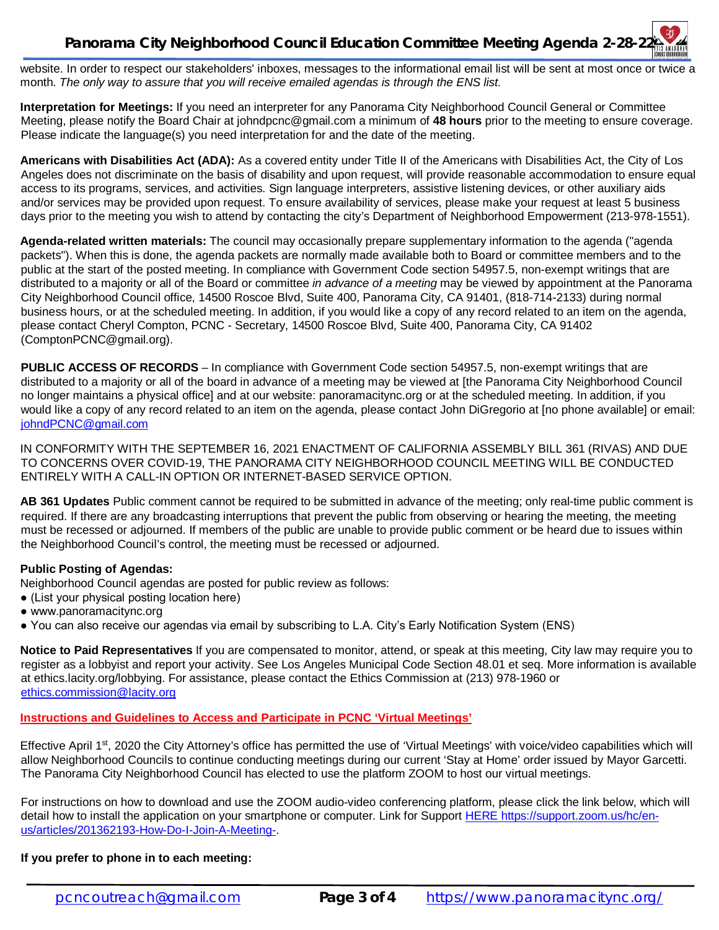## **Panorama City Neighborhood Council Education Committee Meeting Agenda 2-28-22**

website. In order to respect our stakeholders' inboxes, messages to the informational email list will be sent at most once or twice a month. *The only way to assure that you will receive emailed agendas is through the ENS list.* 

**Interpretation for Meetings:** If you need an interpreter for any Panorama City Neighborhood Council General or Committee Meeting, please notify the Board Chair at [johndpcnc@gmail.com](mailto:johndpcnc@gmail.com) a minimum of **48 hours** prior to the meeting to ensure coverage. Please indicate the language(s) you need interpretation for and the date of the meeting.

**Americans with Disabilities Act (ADA):** As a covered entity under Title II of the Americans with Disabilities Act, the City of Los Angeles does not discriminate on the basis of disability and upon request, will provide reasonable accommodation to ensure equal access to its programs, services, and activities. Sign language interpreters, assistive listening devices, or other auxiliary aids and/or services may be provided upon request. To ensure availability of services, please make your request at least 5 business days prior to the meeting you wish to attend by contacting the city's Department of Neighborhood Empowerment (213-978-1551).

**Agenda-related written materials:** The council may occasionally prepare supplementary information to the agenda ("agenda packets"). When this is done, the agenda packets are normally made available both to Board or committee members and to the public at the start of the posted meeting. In compliance with Government Code section 54957.5, non-exempt writings that are distributed to a majority or all of the Board or committee *in advance of a meeting* may be viewed by appointment at the Panorama City Neighborhood Council office, 14500 Roscoe Blvd, Suite 400, Panorama City, CA 91401, (818-714-2133) during normal business hours, or at the scheduled meeting. In addition, if you would like a copy of any record related to an item on the agenda, please contact Cheryl Compton, PCNC - Secretary, 14500 Roscoe Blvd, Suite 400, Panorama City, CA 91402 [\(ComptonPCNC@gmail.org\).](mailto:(ComptonPCNC@gmail.org).) 

**PUBLIC ACCESS OF RECORDS** – In compliance with Government Code section 54957.5, non-exempt writings that are distributed to a majority or all of the board in advance of a meeting may be viewed at [the Panorama City Neighborhood Council no longer maintains a physical office] and at our website: panoramacitync.org or at the scheduled meeting. In addition, if you would like a copy of any record related to an item on the agenda, please contact John DiGregorio at [no phone available] or email: [johndPCNC@gmail.com](mailto:johndPCNC@gmail.com)

IN CONFORMITY WITH THE SEPTEMBER 16, 2021 ENACTMENT OF CALIFORNIA ASSEMBLY BILL 361 (RIVAS) AND DUE TO CONCERNS OVER COVID-19, THE PANORAMA CITY NEIGHBORHOOD COUNCIL MEETING WILL BE CONDUCTED ENTIRELY WITH A CALL-IN OPTION OR INTERNET-BASED SERVICE OPTION.

**AB 361 Updates** Public comment cannot be required to be submitted in advance of the meeting; only real-time public comment is required. If there are any broadcasting interruptions that prevent the public from observing or hearing the meeting, the meeting must be recessed or adjourned. If members of the public are unable to provide public comment or be heard due to issues within the Neighborhood Council's control, the meeting must be recessed or adjourned.

#### **Public Posting of Agendas:**

Neighborhood Council agendas are posted for public review as follows:

- (List your physical posting location here)
- www.panoramacitync.org
- You can also receive our agendas via email by subscribing to L.A. City's Early Notification System (ENS)

**Notice to Paid Representatives** If you are compensated to monitor, attend, or speak at this meeting, City law may require you to register as a lobbyist and report your activity. See Los Angeles Municipal Code Section 48.01 et seq. More information is available at ethics.lacity.org/lobbying. For assistance, please contact the Ethics Commission at (213) 978-1960 or [ethics.commission@lacity.org](mailto:ethics.commission@lacity.org)

#### **Instructions and Guidelines to Access and Participate in PCNC 'Virtual Meetings'**

Effective April 1<sup>st</sup>, 2020 the City Attorney's office has permitted the use of 'Virtual Meetings' with voice/video capabilities which will allow Neighborhood Councils to continue conducting meetings during our current 'Stay at Home' order issued by Mayor Garcetti. The Panorama City Neighborhood Council has elected to use the platform ZOOM to host our virtual meetings.

For instructions on how to download and use the ZOOM audio-video conferencing platform, please click the link below, which will detail how to install the application on your smartphone or computer. Link for Support HERE [https://support.zoom.us/hc/en](https://support.zoom.us/hc/en-)us/articles/201362193-How-Do-I-Join-A-Meeting-.

#### **If you prefer to phone in to each meeting:**